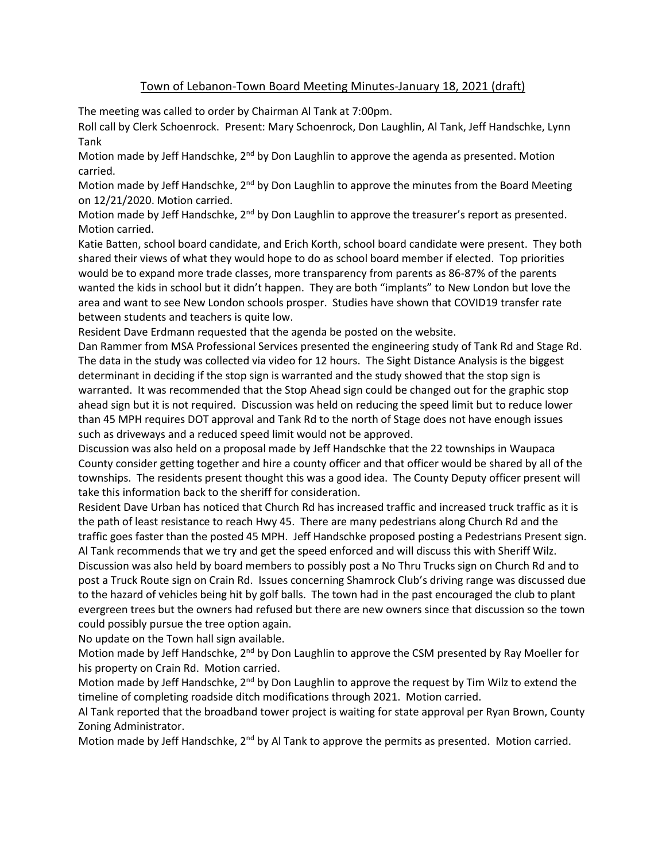## Town of Lebanon-Town Board Meeting Minutes-January 18, 2021 (draft)

The meeting was called to order by Chairman Al Tank at 7:00pm.

Roll call by Clerk Schoenrock. Present: Mary Schoenrock, Don Laughlin, Al Tank, Jeff Handschke, Lynn Tank

Motion made by Jeff Handschke, 2<sup>nd</sup> by Don Laughlin to approve the agenda as presented. Motion carried.

Motion made by Jeff Handschke, 2<sup>nd</sup> by Don Laughlin to approve the minutes from the Board Meeting on 12/21/2020. Motion carried.

Motion made by Jeff Handschke, 2<sup>nd</sup> by Don Laughlin to approve the treasurer's report as presented. Motion carried.

Katie Batten, school board candidate, and Erich Korth, school board candidate were present. They both shared their views of what they would hope to do as school board member if elected. Top priorities would be to expand more trade classes, more transparency from parents as 86-87% of the parents wanted the kids in school but it didn't happen. They are both "implants" to New London but love the area and want to see New London schools prosper. Studies have shown that COVID19 transfer rate between students and teachers is quite low.

Resident Dave Erdmann requested that the agenda be posted on the website.

Dan Rammer from MSA Professional Services presented the engineering study of Tank Rd and Stage Rd. The data in the study was collected via video for 12 hours. The Sight Distance Analysis is the biggest determinant in deciding if the stop sign is warranted and the study showed that the stop sign is warranted. It was recommended that the Stop Ahead sign could be changed out for the graphic stop ahead sign but it is not required. Discussion was held on reducing the speed limit but to reduce lower than 45 MPH requires DOT approval and Tank Rd to the north of Stage does not have enough issues such as driveways and a reduced speed limit would not be approved.

Discussion was also held on a proposal made by Jeff Handschke that the 22 townships in Waupaca County consider getting together and hire a county officer and that officer would be shared by all of the townships. The residents present thought this was a good idea. The County Deputy officer present will take this information back to the sheriff for consideration.

Resident Dave Urban has noticed that Church Rd has increased traffic and increased truck traffic as it is the path of least resistance to reach Hwy 45. There are many pedestrians along Church Rd and the traffic goes faster than the posted 45 MPH. Jeff Handschke proposed posting a Pedestrians Present sign. Al Tank recommends that we try and get the speed enforced and will discuss this with Sheriff Wilz. Discussion was also held by board members to possibly post a No Thru Trucks sign on Church Rd and to post a Truck Route sign on Crain Rd. Issues concerning Shamrock Club's driving range was discussed due to the hazard of vehicles being hit by golf balls. The town had in the past encouraged the club to plant evergreen trees but the owners had refused but there are new owners since that discussion so the town could possibly pursue the tree option again.

No update on the Town hall sign available.

Motion made by Jeff Handschke, 2<sup>nd</sup> by Don Laughlin to approve the CSM presented by Ray Moeller for his property on Crain Rd. Motion carried.

Motion made by Jeff Handschke, 2<sup>nd</sup> by Don Laughlin to approve the request by Tim Wilz to extend the timeline of completing roadside ditch modifications through 2021. Motion carried.

Al Tank reported that the broadband tower project is waiting for state approval per Ryan Brown, County Zoning Administrator.

Motion made by Jeff Handschke, 2<sup>nd</sup> by Al Tank to approve the permits as presented. Motion carried.